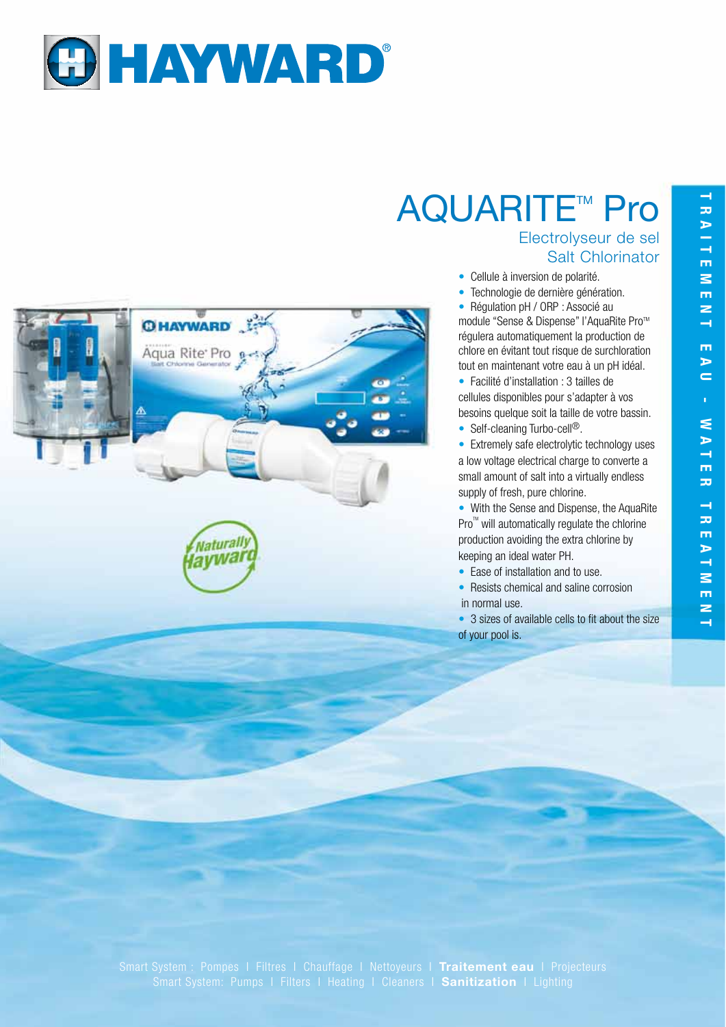

**O HAYWARD** 

Aqua Rite Pro e-

Naturally laywar

## **AQUARITE™ Pro**

## Electrolyseur de sel Salt Chlorinator

- Cellule à inversion de polarité.
- Technologie de dernière génération.

• Régulation pH / ORP : Associé au module "Sense & Dispense" l'AquaRite Pro<sup>™</sup> régulera automatiquement la production de chlore en évitant tout risque de surchloration tout en maintenant votre eau à un pH idéal.

• Facilité d'installation : 3 tailles de cellules disponibles pour s'adapter à vos besoins quelque soit la taille de votre bassin.

• Self-cleaning Turbo-cell<sup>®</sup>.

• Extremely safe electrolytic technology uses a low voltage electrical charge to converte a small amount of salt into a virtually endless supply of fresh, pure chlorine.

• With the Sense and Dispense, the AquaRite  $Pro^{\mathbb{M}}$  will automatically regulate the chlorine production avoiding the extra chlorine by keeping an ideal water PH.

- Ease of installation and to use.
- Resists chemical and saline corrosion in normal use.
- 3 sizes of available cells to fit about the size of your pool is.

Smart System : Pompes I Filtres I Chauffage I Nettoyeurs I **Traitement eau** I Projecteurs Smart System: Pumps I Filters I Heating I Cleaners I **Sanitization** I Lighting